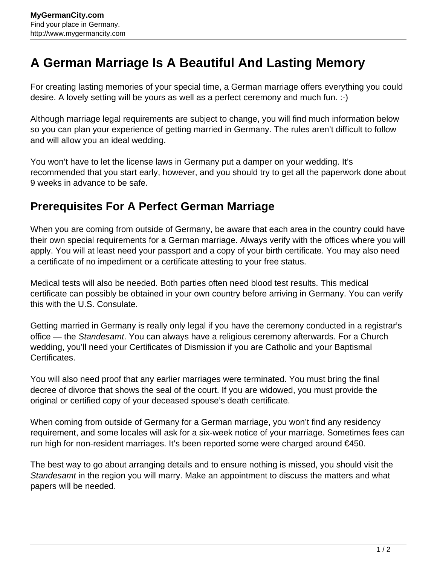## **A German Marriage Is A Beautiful And Lasting Memory**

For creating lasting memories of your special time, a German marriage offers everything you could desire. A lovely setting will be yours as well as a perfect ceremony and much fun. :-)

Although marriage legal requirements are subject to change, you will find much information below so you can plan your experience of getting married in Germany. The rules aren't difficult to follow and will allow you an ideal wedding.

You won't have to let the license laws in Germany put a damper on your wedding. It's recommended that you start early, however, and you should try to get all the paperwork done about 9 weeks in advance to be safe.

## **Prerequisites For A Perfect German Marriage**

When you are coming from outside of Germany, be aware that each area in the country could have their own special requirements for a German marriage. Always verify with the offices where you will apply. You will at least need your passport and a copy of your birth certificate. You may also need a certificate of no impediment or a certificate attesting to your free status.

Medical tests will also be needed. Both parties often need blood test results. This medical certificate can possibly be obtained in your own country before arriving in Germany. You can verify this with the U.S. Consulate.

Getting married in Germany is really only legal if you have the ceremony conducted in a registrar's office — the Standesamt. You can always have a religious ceremony afterwards. For a Church wedding, you'll need your Certificates of Dismission if you are Catholic and your Baptismal Certificates.

You will also need proof that any earlier marriages were terminated. You must bring the final decree of divorce that shows the seal of the court. If you are widowed, you must provide the original or certified copy of your deceased spouse's death certificate.

When coming from outside of Germany for a German marriage, you won't find any residency requirement, and some locales will ask for a six-week notice of your marriage. Sometimes fees can run high for non-resident marriages. It's been reported some were charged around €450.

The best way to go about arranging details and to ensure nothing is missed, you should visit the Standesamt in the region you will marry. Make an appointment to discuss the matters and what papers will be needed.